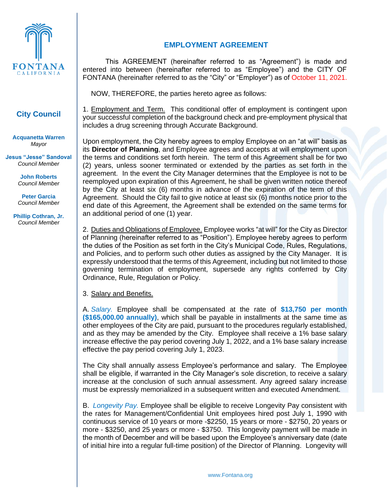

## **City Council**

**Acquanetta Warren** *Mayor*

**Jesus "Jesse" Sandoval** *Council Member*

> **John Roberts** *Council Member*

> **Peter Garcia** *Council Member*

**Phillip Cothran, Jr.** *Council Member*

## **EMPLOYMENT AGREEMENT**

This AGREEMENT (hereinafter referred to as "Agreement") is made and entered into between (hereinafter referred to as "Employee") and the CITY OF FONTANA (hereinafter referred to as the "City" or "Employer") as of October 11, 2021.

NOW, THEREFORE, the parties hereto agree as follows:

1. Employment and Term. This conditional offer of employment is contingent upon your successful completion of the background check and pre-employment physical that includes a drug screening through Accurate Background.

Upon employment, the City hereby agrees to employ Employee on an "at will" basis as its **Director of Planning**, and Employee agrees and accepts at will employment upon the terms and conditions set forth herein. The term of this Agreement shall be for two (2) years, unless sooner terminated or extended by the parties as set forth in the agreement. In the event the City Manager determines that the Employee is not to be reemployed upon expiration of this Agreement, he shall be given written notice thereof by the City at least six (6) months in advance of the expiration of the term of this Agreement. Should the City fail to give notice at least six (6) months notice prior to the end date of this Agreement, the Agreement shall be extended on the same terms for an additional period of one (1) year.

2. Duties and Obligations of Employee. Employee works "at will" for the City as Director of Planning (hereinafter referred to as "Position"). Employee hereby agrees to perform the duties of the Position as set forth in the City's Municipal Code, Rules, Regulations, and Policies, and to perform such other duties as assigned by the City Manager. It is expressly understood that the terms of this Agreement, including but not limited to those governing termination of employment, supersede any rights conferred by City Ordinance, Rule, Regulation or Policy.

3. Salary and Benefits.

A. *Salary.* Employee shall be compensated at the rate of **\$13,750 per month (\$165,000.00 annually)**, which shall be payable in installments at the same time as other employees of the City are paid, pursuant to the procedures regularly established, and as they may be amended by the City. Employee shall receive a 1% base salary increase effective the pay period covering July 1, 2022, and a 1% base salary increase effective the pay period covering July 1, 2023.

The City shall annually assess Employee's performance and salary. The Employee shall be eligible, if warranted in the City Manager's sole discretion, to receive a salary increase at the conclusion of such annual assessment. Any agreed salary increase must be expressly memorialized in a subsequent written and executed Amendment.

B. *Longevity Pay.* Employee shall be eligible to receive Longevity Pay consistent with the rates for Management/Confidential Unit employees hired post July 1, 1990 with continuous service of 10 years or more -\$2250, 15 years or more - \$2750, 20 years or more - \$3250, and 25 years or more - \$3750. This longevity payment will be made in the month of December and will be based upon the Employee's anniversary date (date of initial hire into a regular full-time position) of the Director of Planning. Longevity will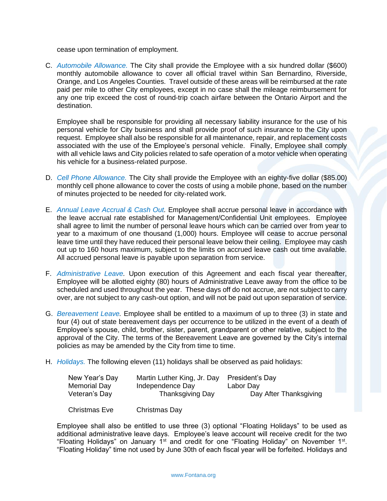cease upon termination of employment.

C. *Automobile Allowance.* The City shall provide the Employee with a six hundred dollar (\$600) monthly automobile allowance to cover all official travel within San Bernardino, Riverside, Orange, and Los Angeles Counties. Travel outside of these areas will be reimbursed at the rate paid per mile to other City employees, except in no case shall the mileage reimbursement for any one trip exceed the cost of round-trip coach airfare between the Ontario Airport and the destination.

Employee shall be responsible for providing all necessary liability insurance for the use of his personal vehicle for City business and shall provide proof of such insurance to the City upon request. Employee shall also be responsible for all maintenance, repair, and replacement costs associated with the use of the Employee's personal vehicle. Finally, Employee shall comply with all vehicle laws and City policies related to safe operation of a motor vehicle when operating his vehicle for a business-related purpose.

- D. *Cell Phone Allowance.* The City shall provide the Employee with an eighty-five dollar (\$85.00) monthly cell phone allowance to cover the costs of using a mobile phone, based on the number of minutes projected to be needed for city-related work.
- E. *Annual Leave Accrual & Cash Out.* Employee shall accrue personal leave in accordance with the leave accrual rate established for Management/Confidential Unit employees. Employee shall agree to limit the number of personal leave hours which can be carried over from year to year to a maximum of one thousand (1,000) hours. Employee will cease to accrue personal leave time until they have reduced their personal leave below their ceiling. Employee may cash out up to 160 hours maximum, subject to the limits on accrued leave cash out time available. All accrued personal leave is payable upon separation from service.
- F. *Administrative Leave.* Upon execution of this Agreement and each fiscal year thereafter, Employee will be allotted eighty (80) hours of Administrative Leave away from the office to be scheduled and used throughout the year. These days off do not accrue, are not subject to carry over, are not subject to any cash-out option, and will not be paid out upon separation of service.
- G. *Bereavement Leave.* Employee shall be entitled to a maximum of up to three (3) in state and four (4) out of state bereavement days per occurrence to be utilized in the event of a death of Employee's spouse, child, brother, sister, parent, grandparent or other relative, subject to the approval of the City. The terms of the Bereavement Leave are governed by the City's internal policies as may be amended by the City from time to time.
- H. *Holidays.* The following eleven (11) holidays shall be observed as paid holidays:

| New Year's Day | Martin Luther King, Jr. Day President's Day |                        |
|----------------|---------------------------------------------|------------------------|
| Memorial Day   | Independence Day                            | Labor Dav              |
| Veteran's Day  | <b>Thanksgiving Day</b>                     | Day After Thanksgiving |

Christmas Eve Christmas Day

Employee shall also be entitled to use three (3) optional "Floating Holidays" to be used as additional administrative leave days. Employee's leave account will receive credit for the two "Floating Holidays" on January 1<sup>st</sup> and credit for one "Floating Holiday" on November 1<sup>st</sup>. "Floating Holiday" time not used by June 30th of each fiscal year will be forfeited. Holidays and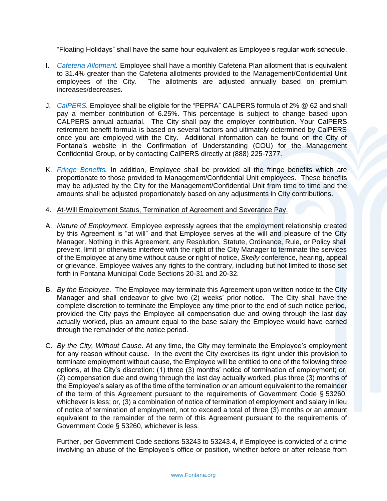"Floating Holidays" shall have the same hour equivalent as Employee's regular work schedule.

- I. *Cafeteria Allotment.* Employee shall have a monthly Cafeteria Plan allotment that is equivalent to 31.4% greater than the Cafeteria allotments provided to the Management/Confidential Unit<br>emplovees of the City. The allotments are adjusted annually based on premium The allotments are adjusted annually based on premium increases/decreases.
- J. *CalPERS.* Employee shall be eligible for the "PEPRA" CALPERS formula of 2% @ 62 and shall pay a member contribution of 6.25%. This percentage is subject to change based upon CALPERS annual actuarial. The City shall pay the employer contribution. Your CalPERS retirement benefit formula is based on several factors and ultimately determined by CalPERS once you are employed with the City. Additional information can be found on the City of Fontana's website in the Confirmation of Understanding (COU) for the Management Confidential Group, or by contacting CalPERS directly at (888) 225-7377.
- K. *Fringe Benefits.* In addition, Employee shall be provided all the fringe benefits which are proportionate to those provided to Management/Confidential Unit employees. These benefits may be adjusted by the City for the Management/Confidential Unit from time to time and the amounts shall be adjusted proportionately based on any adjustments in City contributions.
- 4. At-Will Employment Status, Termination of Agreement and Severance Pay.
- A. *Nature of Employment*. Employee expressly agrees that the employment relationship created by this Agreement is "at will" and that Employee serves at the will and pleasure of the City Manager. Nothing in this Agreement, any Resolution, Statute, Ordinance, Rule, or Policy shall prevent, limit or otherwise interfere with the right of the City Manager to terminate the services of the Employee at any time without cause or right of notice, *Skelly* conference, hearing, appeal or grievance. Employee waives any rights to the contrary, including but not limited to those set forth in Fontana Municipal Code Sections 20-31 and 20-32.
- B. *By the Employee*. The Employee may terminate this Agreement upon written notice to the City Manager and shall endeavor to give two (2) weeks' prior notice. The City shall have the complete discretion to terminate the Employee any time prior to the end of such notice period, provided the City pays the Employee all compensation due and owing through the last day actually worked, plus an amount equal to the base salary the Employee would have earned through the remainder of the notice period.
- C. *By the City, Without Cause*. At any time, the City may terminate the Employee's employment for any reason without cause. In the event the City exercises its right under this provision to terminate employment without cause, the Employee will be entitled to one of the following three options, at the City's discretion: (1) three (3) months' notice of termination of employment; or, (2) compensation due and owing through the last day actually worked, plus three (3) months of the Employee's salary as of the time of the termination *or* an amount equivalent to the remainder of the term of this Agreement pursuant to the requirements of Government Code § 53260, whichever is less; or, (3) a combination of notice of termination of employment and salary in lieu of notice of termination of employment, not to exceed a total of three (3) months *or* an amount equivalent to the remainder of the term of this Agreement pursuant to the requirements of Government Code § 53260, whichever is less.

Further, per Government Code sections 53243 to 53243.4, if Employee is convicted of a crime involving an abuse of the Employee's office or position, whether before or after release from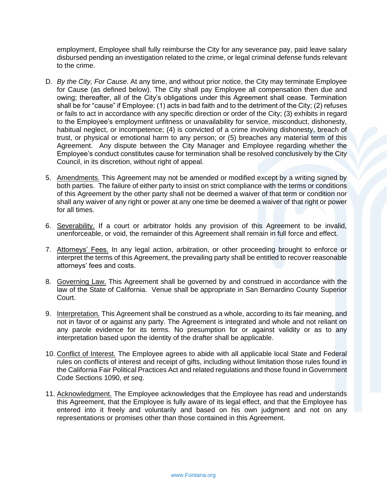employment, Employee shall fully reimburse the City for any severance pay, paid leave salary disbursed pending an investigation related to the crime, or legal criminal defense funds relevant to the crime.

- D. *By the City, For Cause*. At any time, and without prior notice, the City may terminate Employee for Cause (as defined below). The City shall pay Employee all compensation then due and owing; thereafter, all of the City's obligations under this Agreement shall cease. Termination shall be for "cause" if Employee: (1) acts in bad faith and to the detriment of the City; (2) refuses or fails to act in accordance with any specific direction or order of the City; (3) exhibits in regard to the Employee's employment unfitness or unavailability for service, misconduct, dishonesty, habitual neglect, or incompetence; (4) is convicted of a crime involving dishonesty, breach of trust, or physical or emotional harm to any person; or (5) breaches any material term of this Agreement. Any dispute between the City Manager and Employee regarding whether the Employee's conduct constitutes cause for termination shall be resolved conclusively by the City Council, in its discretion, without right of appeal.
- 5. Amendments. This Agreement may not be amended or modified except by a writing signed by both parties. The failure of either party to insist on strict compliance with the terms or conditions of this Agreement by the other party shall not be deemed a waiver of that term or condition nor shall any waiver of any right or power at any one time be deemed a waiver of that right or power for all times.
- 6. Severability. If a court or arbitrator holds any provision of this Agreement to be invalid, unenforceable, or void, the remainder of this Agreement shall remain in full force and effect.
- 7. Attorneys' Fees. In any legal action, arbitration, or other proceeding brought to enforce or interpret the terms of this Agreement, the prevailing party shall be entitled to recover reasonable attorneys' fees and costs.
- 8. Governing Law. This Agreement shall be governed by and construed in accordance with the law of the State of California. Venue shall be appropriate in San Bernardino County Superior Court.
- 9. Interpretation. This Agreement shall be construed as a whole, according to its fair meaning, and not in favor of or against any party. The Agreement is integrated and whole and not reliant on any parole evidence for its terms. No presumption for or against validity or as to any interpretation based upon the identity of the drafter shall be applicable.
- 10. Conflict of Interest. The Employee agrees to abide with all applicable local State and Federal rules on conflicts of interest and receipt of gifts, including without limitation those rules found in the California Fair Political Practices Act and related regulations and those found in Government Code Sections 1090, *et seq*.
- 11. Acknowledgment. The Employee acknowledges that the Employee has read and understands this Agreement, that the Employee is fully aware of its legal effect, and that the Employee has entered into it freely and voluntarily and based on his own judgment and not on any representations or promises other than those contained in this Agreement.